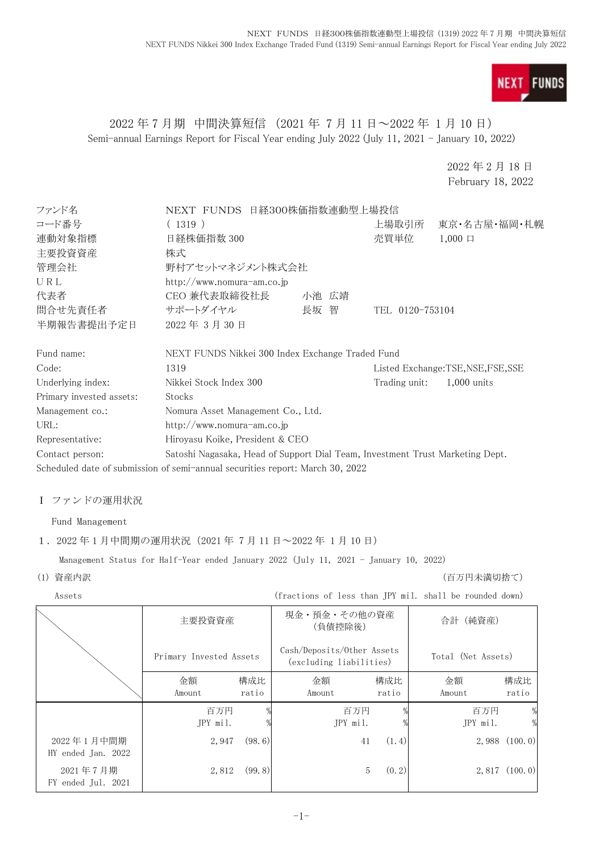

# 2022 年 7 月期 中間決算短信 (2021 年 7 月 11 日~2022 年 1 月 10 日) Semi-annual Earnings Report for Fiscal Year ending July 2022 (July 11, 2021 - January 10, 2022)

2022 年 2 月 18 日 February 18, 2022

| ファンド名                    | NEXT FUNDS 日経300株価指数連動型上場投信                                                   |       |                 |                                 |
|--------------------------|-------------------------------------------------------------------------------|-------|-----------------|---------------------------------|
| コード番号                    | (1319)                                                                        |       | 上場取引所           | 東京・名古屋・福岡・札幌                    |
| 連動対象指標                   | 日経株価指数 300                                                                    |       | 売買単位            | $1,000 \Box$                    |
| 主要投資資産                   | 株式                                                                            |       |                 |                                 |
| 管理会社                     | 野村アセットマネジメント株式会社                                                              |       |                 |                                 |
| URL                      | http://www.nomura-am.co.jp                                                    |       |                 |                                 |
| 代表者                      | CEO 兼代表取締役社長                                                                  | 小池 広靖 |                 |                                 |
| 問合せ先責任者                  | サポートダイヤル                                                                      | 長坂 智  | TEL 0120-753104 |                                 |
| 半期報告書提出予定日               | 2022年3月30日                                                                    |       |                 |                                 |
| Fund name:               | NEXT FUNDS Nikkei 300 Index Exchange Traded Fund                              |       |                 |                                 |
| Code:                    | 1319                                                                          |       |                 | Listed Exchange:TSE,NSE,FSE,SSE |
| Underlying index:        | Nikkei Stock Index 300                                                        |       | Trading unit:   | $1,000$ units                   |
| Primary invested assets: | Stocks                                                                        |       |                 |                                 |
| Management co.:          | Nomura Asset Management Co., Ltd.                                             |       |                 |                                 |
| URL:                     | http://www.nomura-am.co.jp                                                    |       |                 |                                 |
| Representative:          | Hiroyasu Koike, President & CEO                                               |       |                 |                                 |
| Contact person:          | Satoshi Nagasaka, Head of Support Dial Team, Investment Trust Marketing Dept. |       |                 |                                 |
|                          | Scheduled date of submission of semi-annual securities report: March 30, 2022 |       |                 |                                 |

## Ⅰ ファンドの運用状況

Fund Management

### 1. 2022 年 1 月中間期の運用状況 (2021 年 7 月 11 日~2022 年 1 月 10 日)

Management Status for Half-Year ended January 2022 (July 11, 2021 - January 10, 2022)

(1) 資産内訳 (百万円未満切捨て)

| Assets                           |                         |              | (fractions of less than JPY mil. shall be rounded down) |              |                    |                    |
|----------------------------------|-------------------------|--------------|---------------------------------------------------------|--------------|--------------------|--------------------|
|                                  | 主要投資資産                  |              | (負債控除後)                                                 | 現金・預金・その他の資産 |                    |                    |
|                                  | Primary Invested Assets |              | Cash/Deposits/Other Assets<br>(excluding liabilities)   |              | Total (Net Assets) |                    |
|                                  | 金額<br>Amount            | 構成比<br>ratio | 金額<br>Amount                                            | 構成比<br>ratio | 金額<br>Amount       | 構成比<br>ratio       |
|                                  | 百万円<br>JPY mil.         |              | 百万円<br>JPY mil.                                         |              | 百万円<br>JPY mil.    | %<br>$\frac{0}{2}$ |
| 2022年1月中間期<br>HY ended Jan. 2022 | 2,947                   | (98, 6)      | 41                                                      | (1.4)        |                    | $2,988$ $(100.0)$  |
| 2021年7月期<br>FY ended Jul. 2021   | 2,812                   | (99.8)       | 5                                                       | (0, 2)       |                    | 2,817(100.0)       |
|                                  |                         |              |                                                         |              |                    |                    |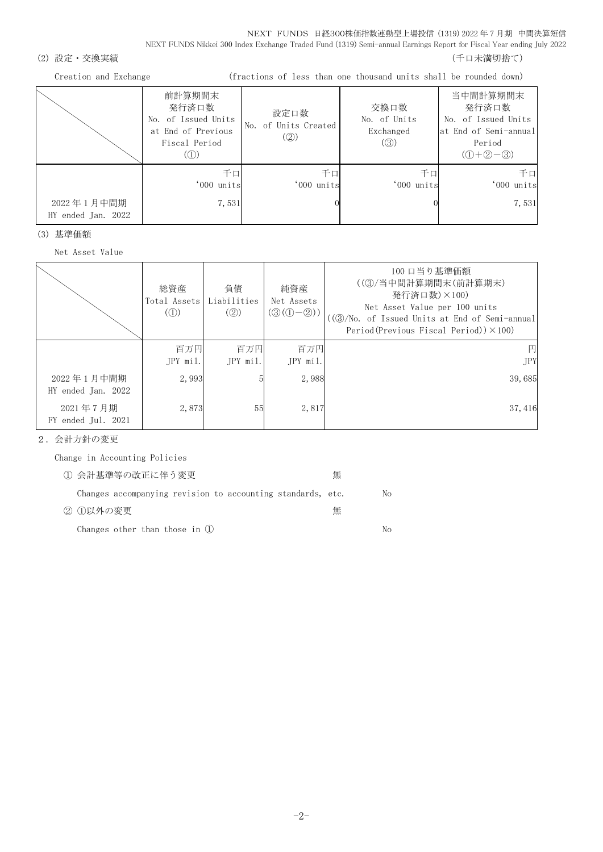NEXT FUNDS 日経300株価指数連動型上場投信 (1319) 2022 年 7 月期 中間決算短信 NEXT FUNDS Nikkei 300 Index Exchange Traded Fund (1319) Semi-annual Earnings Report for Fiscal Year ending July 2022

#### (2) 設定・交換実績 (2) 設定を支援する (1) この この この この この この この この この この この この (千口未満切捨て)

Creation and Exchange (fractions of less than one thousand units shall be rounded down)

|                                  | 前計算期間末<br>発行済口数<br>No. of Issued Units<br>at End of Previous<br>Fiscal Period<br>(1) | 設定口数<br>No. of Units Created<br>(Q) | 交換口数<br>No. of Units<br>Exchanged<br>$\left( 3 \right)$ | 当中間計算期間末<br>発行済口数<br>No. of Issued Units<br>at End of Semi-annual<br>Period<br>$(D+2-3)$ |
|----------------------------------|--------------------------------------------------------------------------------------|-------------------------------------|---------------------------------------------------------|------------------------------------------------------------------------------------------|
| 2022年1月中間期<br>HY ended Jan. 2022 | 千口<br>'000 units<br>7,531                                                            | 千口<br>'000 units                    | 千口<br>'000 units                                        | 千口<br>'000 units<br>7,531                                                                |

(3) 基準価額

Net Asset Value

|                                  | 総資産<br>Total Assets<br>$\mathcal{L}(\mathbb{D})$ | 負債<br>Liabilities<br>(Q) | 純資産<br>Net Assets<br>$\left(\textcircled{3}\left(\textcircled{1}-\textcircled{2}\right)\right)$ | 100 口当り基準価額<br>((3)/当中間計算期間末(前計算期末)<br>発行済口数)×100)<br>Net Asset Value per 100 units<br>((③/No. of Issued Units at End of Semi-annual<br>Period(Previous Fiscal Period)) $\times$ 100) |
|----------------------------------|--------------------------------------------------|--------------------------|-------------------------------------------------------------------------------------------------|---------------------------------------------------------------------------------------------------------------------------------------------------------------------------------------|
|                                  | 百万円<br>JPY mil.                                  | 百万円<br>JPY mil.          | 百万円<br>JPY mil.                                                                                 | <b>JPY</b>                                                                                                                                                                            |
| 2022年1月中間期<br>HY ended Jan. 2022 | 2.993                                            |                          | 2,988                                                                                           | 39,685                                                                                                                                                                                |
| 2021年7月期<br>FY ended Jul. 2021   | 2,873                                            | 55                       | 2,817                                                                                           | 37, 416                                                                                                                                                                               |

2.会計方針の変更

 Change in Accounting Policies 1 会計基準等の改正に伴う変更 インチング 無

|          | Changes accompanying revision to accounting standards, etc. |  |  |   | No |
|----------|-------------------------------------------------------------|--|--|---|----|
| ② ①以外の変更 |                                                             |  |  | 無 |    |

Changes other than those in  $\mathbb D$  No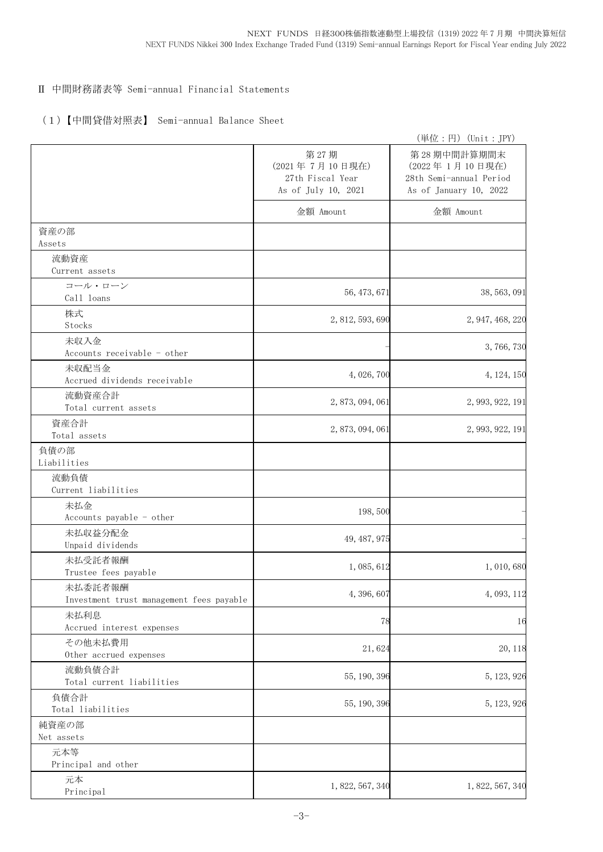# Ⅱ 中間財務諸表等 Semi-annual Financial Statements

# (1)【中間貸借対照表】 Semi-annual Balance Sheet

|                                                     |                                                                   | (単位:円) (Unit:JPY)                                                                  |
|-----------------------------------------------------|-------------------------------------------------------------------|------------------------------------------------------------------------------------|
|                                                     | 第27期<br>(2021年7月10日現在)<br>27th Fiscal Year<br>As of July 10, 2021 | 第28期中間計算期間末<br>(2022年1月10日現在)<br>28th Semi-annual Period<br>As of January 10, 2022 |
|                                                     | 金額 Amount                                                         | 金額 Amount                                                                          |
| 資産の部<br>Assets                                      |                                                                   |                                                                                    |
| 流動資産                                                |                                                                   |                                                                                    |
| Current assets                                      |                                                                   |                                                                                    |
| コール・ローン<br>Call loans                               | 56, 473, 671                                                      | 38, 563, 091                                                                       |
| 株式<br>Stocks                                        | 2, 812, 593, 690                                                  | 2, 947, 468, 220                                                                   |
| 未収入金                                                |                                                                   | 3,766,730                                                                          |
| Accounts receivable - other                         |                                                                   |                                                                                    |
| 未収配当金<br>Accrued dividends receivable               | 4, 026, 700                                                       | 4, 124, 150                                                                        |
| 流動資産合計<br>Total current assets                      | 2, 873, 094, 061                                                  | 2, 993, 922, 191                                                                   |
| 資産合計<br>Total assets                                | 2, 873, 094, 061                                                  | 2, 993, 922, 191                                                                   |
| 負債の部<br>Liabilities                                 |                                                                   |                                                                                    |
| 流動負債<br>Current liabilities                         |                                                                   |                                                                                    |
| 未払金<br>Accounts payable - other                     | 198,500                                                           |                                                                                    |
| 未払収益分配金<br>Unpaid dividends                         | 49, 487, 975                                                      |                                                                                    |
| 未払受託者報酬<br>Trustee fees payable                     | 1,085,612                                                         | 1,010,680                                                                          |
| 未払委託者報酬<br>Investment trust management fees payable | 4,396,607                                                         | 4,093,112                                                                          |
| 未払利息<br>Accrued interest expenses                   | 78                                                                | 16                                                                                 |
| その他未払費用<br>Other accrued expenses                   | 21,624                                                            | 20, 118                                                                            |
| 流動負債合計<br>Total current liabilities                 | 55, 190, 396                                                      | 5, 123, 926                                                                        |
| 負債合計<br>Total liabilities                           | 55, 190, 396                                                      | 5, 123, 926                                                                        |
| 純資産の部<br>Net assets                                 |                                                                   |                                                                                    |
| 元本等                                                 |                                                                   |                                                                                    |
| Principal and other                                 |                                                                   |                                                                                    |
| 元本<br>Principal                                     | 1, 822, 567, 340                                                  | 1, 822, 567, 340                                                                   |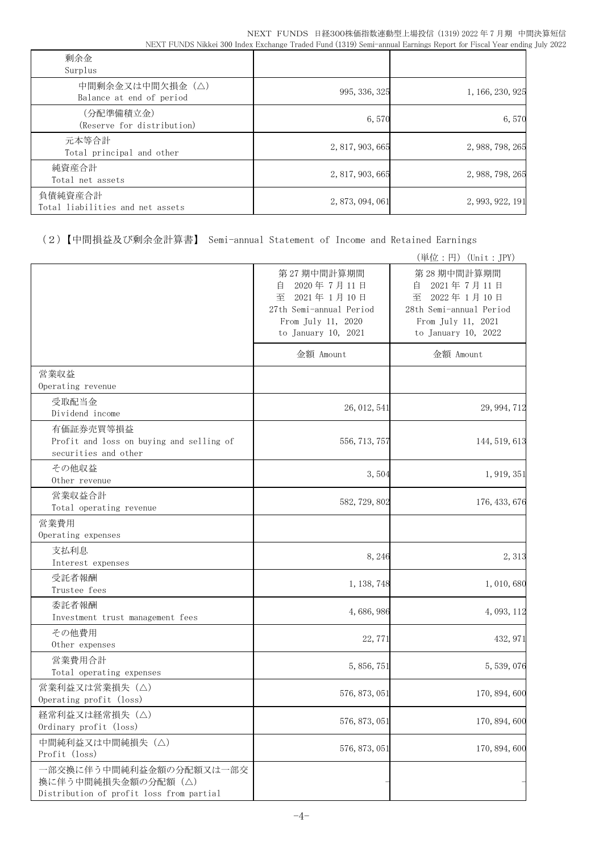| 剰余金<br>Surplus                              |                  |                  |
|---------------------------------------------|------------------|------------------|
| 中間剰余金又は中間欠損金(△)<br>Balance at end of period | 995, 336, 325    | 1, 166, 230, 925 |
| (分配準備積立金)<br>(Reserve for distribution)     | 6,570            | 6,570            |
| 元本等合計<br>Total principal and other          | 2, 817, 903, 665 | 2, 988, 798, 265 |
| 純資産合計<br>Total net assets                   | 2, 817, 903, 665 | 2, 988, 798, 265 |
| 負債純資産合計<br>Total liabilities and net assets | 2, 873, 094, 061 | 2, 993, 922, 191 |

(2)【中間損益及び剰余金計算書】 Semi-annual Statement of Income and Retained Earnings

|                                                                                            |                                                                                                                          | (単位:円) (Unit:JPY)                                                                                                        |
|--------------------------------------------------------------------------------------------|--------------------------------------------------------------------------------------------------------------------------|--------------------------------------------------------------------------------------------------------------------------|
|                                                                                            | 第27期中間計算期間<br>自<br>2020年7月11日<br>至<br>2021年1月10日<br>27th Semi-annual Period<br>From July 11, 2020<br>to January 10, 2021 | 第28期中間計算期間<br>2021年7月11日<br>自<br>至<br>2022年1月10日<br>28th Semi-annual Period<br>From July 11, 2021<br>to January 10, 2022 |
|                                                                                            | 金額 Amount                                                                                                                | 金額 Amount                                                                                                                |
| 営業収益<br>Operating revenue                                                                  |                                                                                                                          |                                                                                                                          |
| 受取配当金<br>Dividend income                                                                   | 26, 012, 541                                                                                                             | 29, 994, 712                                                                                                             |
| 有価証券売買等損益<br>Profit and loss on buying and selling of<br>securities and other              | 556, 713, 757                                                                                                            | 144, 519, 613                                                                                                            |
| その他収益<br>Other revenue                                                                     | 3,504                                                                                                                    | 1, 919, 351                                                                                                              |
| 営業収益合計<br>Total operating revenue                                                          | 582, 729, 802                                                                                                            | 176, 433, 676                                                                                                            |
| 営業費用<br>Operating expenses                                                                 |                                                                                                                          |                                                                                                                          |
| 支払利息<br>Interest expenses                                                                  | 8,246                                                                                                                    | 2,313                                                                                                                    |
| 受託者報酬<br>Trustee fees                                                                      | 1, 138, 748                                                                                                              | 1,010,680                                                                                                                |
| 委託者報酬<br>Investment trust management fees                                                  | 4,686,986                                                                                                                | 4, 093, 112                                                                                                              |
| その他費用<br>Other expenses                                                                    | 22, 771                                                                                                                  | 432, 971                                                                                                                 |
| 営業費用合計<br>Total operating expenses                                                         | 5, 856, 751                                                                                                              | 5, 539, 076                                                                                                              |
| 営業利益又は営業損失(△)<br>Operating profit (loss)                                                   | 576, 873, 051                                                                                                            | 170, 894, 600                                                                                                            |
| 経常利益又は経常損失 (△)<br>Ordinary profit (loss)                                                   | 576, 873, 051                                                                                                            | 170, 894, 600                                                                                                            |
| 中間純利益又は中間純損失(△)<br>Profit (loss)                                                           | 576, 873, 051                                                                                                            | 170, 894, 600                                                                                                            |
| 一部交換に伴う中間純利益金額の分配額又は一部交<br>換に伴う中間純損失金額の分配額 (△)<br>Distribution of profit loss from partial |                                                                                                                          |                                                                                                                          |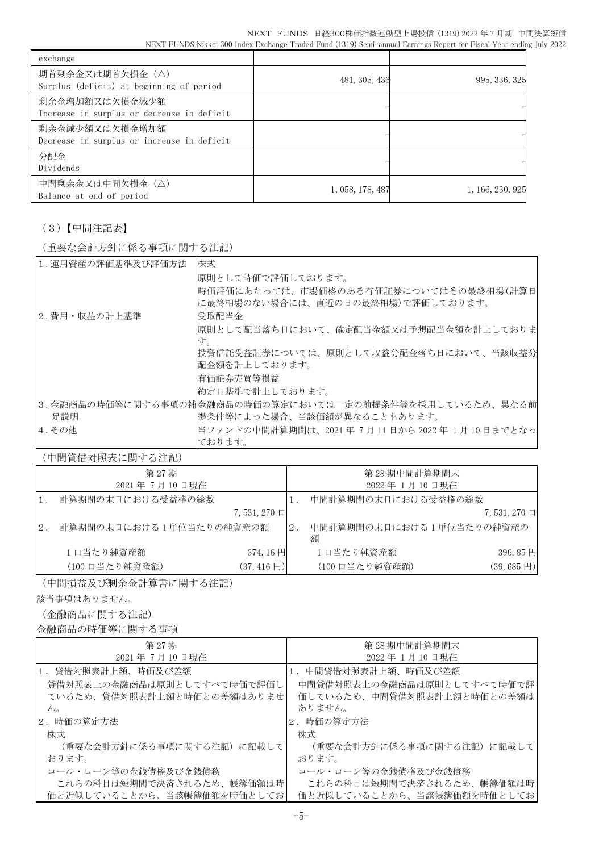NEXT FUNDS 日経300株価指数連動型上場投信 (1319) 2022 年 7 月期 中間決算短信 NEXT FUNDS Nikkei 300 Index Exchange Traded Fund (1319) Semi-annual Earnings Report for Fiscal Year ending July 2022

| exchange                                                     |                  |                  |
|--------------------------------------------------------------|------------------|------------------|
| 期首剰余金又は期首欠損金(△)<br>Surplus (deficit) at beginning of period  | 481, 305, 436    | 995, 336, 325    |
| 剰余金増加額又は欠損金減少額<br>Increase in surplus or decrease in deficit |                  |                  |
| 剰余金減少額又は欠損金増加額<br>Decrease in surplus or increase in deficit |                  |                  |
| 分配金<br>Dividends                                             |                  |                  |
| 中間剰余金又は中間欠損金(△)<br>Balance at end of period                  | 1, 058, 178, 487 | 1, 166, 230, 925 |

# (3)【中間注記表】

(重要な会計方針に係る事項に関する注記)

| 1. 運用資産の評価基準及び評価方法 | 株式                                                      |
|--------------------|---------------------------------------------------------|
|                    | 原則として時価で評価しております。                                       |
|                    | 時価評価にあたっては、市場価格のある有価証券についてはその最終相場(計算日                   |
|                    | に最終相場のない場合には、直近の日の最終相場)で評価しております。                       |
| 2.費用・収益の計上基準       | 受取配当金                                                   |
|                    | 原則として配当落ち日において、確定配当金額又は予想配当金額を計上しておりま                   |
|                    | す。                                                      |
|                    | 投資信託受益証券については、原則として収益分配金落ち日において、当該収益分                   |
|                    | 配金額を計上しております。                                           |
|                    | 有価証券売買等損益                                               |
|                    | 約定日基準で計上しております。                                         |
|                    | 3.金融商品の時価等に関する事項の補金融商品の時価の算定においては一定の前提条件等を採用しているため、異なる前 |
| 足説明                | 提条件等によった場合、当該価額が異なることもあります。                             |
| 4. その他             | 当ファンドの中間計算期間は、2021 年 7月 11 日から 2022 年 1月 10 日までとなっ      |
|                    | ております。                                                  |

(中間貸借対照表に関する注記)

|    | 第 27期<br>2021年7月10日現在   |                        |       | 第28期中間計算期間末<br>2022年1月10日現在   |                        |
|----|-------------------------|------------------------|-------|-------------------------------|------------------------|
|    | 計算期間の末日における受益権の総数       |                        |       | 中間計算期間の末日における受益権の総数           |                        |
|    |                         | 7,531,270 口            |       |                               | $7,531,270 \square$    |
| 2. | 計算期間の末日における1単位当たりの純資産の額 |                        | $2$ . | 中間計算期間の末日における1単位当たりの純資産の<br>額 |                        |
|    | 1口当たり純資産額               | 374.16円                |       | 1日当たり純資産額                     | 396.85円                |
|    | (100 口当たり純資産額)          | $(37, 416 \,\boxplus)$ |       | (100 口当たり純資産額)                | $(39, 685 \,\boxplus)$ |

(中間損益及び剰余金計算書に関する注記)

該当事項はありません。

(金融商品に関する注記)

金融商品の時価等に関する事項

| 第 27 期<br>2021年7月10日現在                                                                                 | 第 28 期中間計算期間末<br>2022年1月10日現在                                                              |
|--------------------------------------------------------------------------------------------------------|--------------------------------------------------------------------------------------------|
| 1.貸借対照表計上額、時価及び差額<br>貸借対照表上の金融商品は原則としてすべて時価で評価し<br>ているため、貸借対照表計上額と時価との差額はありませ<br>$\mathcal{L}_{\circ}$ | 1. 中間貸借対照表計上額、時価及び差額<br>中間貸借対照表上の金融商品は原則としてすべて時価で評<br>価しているため、中間貸借対照表計上額と時価との差額は<br>ありません。 |
| 2. 時価の算定方法                                                                                             | 2. 時価の算定方法                                                                                 |
| 株式                                                                                                     | 株式                                                                                         |
| (重要な会計方針に係る事項に関する注記) に記載して                                                                             | (重要な会計方針に係る事項に関する注記)に記載して                                                                  |
| おります。                                                                                                  | おります。                                                                                      |
| コール・ローン等の金銭債権及び金銭債務                                                                                    | コール・ローン等の金銭債権及び金銭債務                                                                        |
| これらの科目は短期間で決済されるため、帳簿価額は時                                                                              | これらの科目は短期間で決済されるため、帳簿価額は時                                                                  |
| 価と近似していることから、当該帳簿価額を時価としてお                                                                             | 価と近似していることから、当該帳簿価額を時価としてお                                                                 |